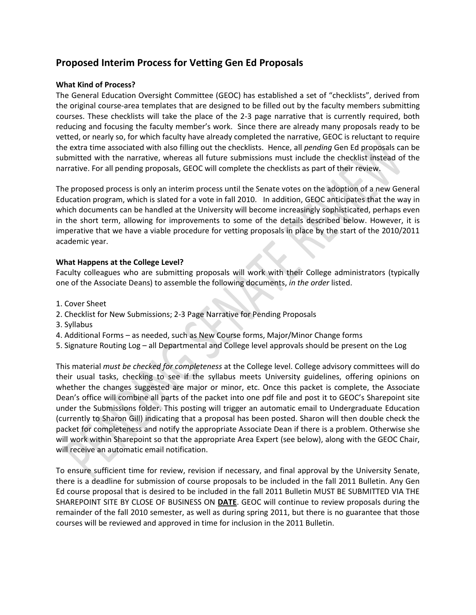# **Proposed Interim Process for Vetting Gen Ed Proposals**

## **What Kind of Process?**

The General Education Oversight Committee (GEOC) has established a set of "checklists", derived from the original course‐area templates that are designed to be filled out by the faculty members submitting courses. These checklists will take the place of the 2‐3 page narrative that is currently required, both reducing and focusing the faculty member's work. Since there are already many proposals ready to be vetted, or nearly so, for which faculty have already completed the narrative, GEOC is reluctant to require the extra time associated with also filling out the checklists. Hence, all *pending* Gen Ed proposals can be submitted with the narrative, whereas all future submissions must include the checklist instead of the narrative. For all pending proposals, GEOC will complete the checklists as part of their review.

The proposed process is only an interim process until the Senate votes on the adoption of a new General Education program, which is slated for a vote in fall 2010. In addition, GEOC anticipates that the way in which documents can be handled at the University will become increasingly sophisticated, perhaps even in the short term, allowing for improvements to some of the details described below. However, it is imperative that we have a viable procedure for vetting proposals in place by the start of the 2010/2011 academic year.

## **What Happens at the College Level?**

Faculty colleagues who are submitting proposals will work with their College administrators (typically one of the Associate Deans) to assemble the following documents, *in the order* listed.

- 1. Cover Sheet
- 2. Checklist for New Submissions; 2-3 Page Narrative for Pending Proposals
- 3. Syllabus
- 4. Additional Forms as needed, such as New Course forms, Major/Minor Change forms
- 5. Signature Routing Log all Departmental and College level approvals should be present on the Log

This material *must be checked for completeness* at the College level. College advisory committees will do their usual tasks, checking to see if the syllabus meets University guidelines, offering opinions on whether the changes suggested are major or minor, etc. Once this packet is complete, the Associate Dean's office will combine all parts of the packet into one pdf file and post it to GEOC's Sharepoint site under the Submissions folder. This posting will trigger an automatic email to Undergraduate Education (currently to Sharon Gill) indicating that a proposal has been posted. Sharon will then double check the packet for completeness and notify the appropriate Associate Dean if there is a problem. Otherwise she will work within Sharepoint so that the appropriate Area Expert (see below), along with the GEOC Chair, will receive an automatic email notification.

To ensure sufficient time for review, revision if necessary, and final approval by the University Senate, there is a deadline for submission of course proposals to be included in the fall 2011 Bulletin. Any Gen Ed course proposal that is desired to be included in the fall 2011 Bulletin MUST BE SUBMITTED VIA THE SHAREPOINT SITE BY CLOSE OF BUSINESS ON **DATE**. GEOC will continue to review proposals during the remainder of the fall 2010 semester, as well as during spring 2011, but there is no guarantee that those courses will be reviewed and approved in time for inclusion in the 2011 Bulletin.